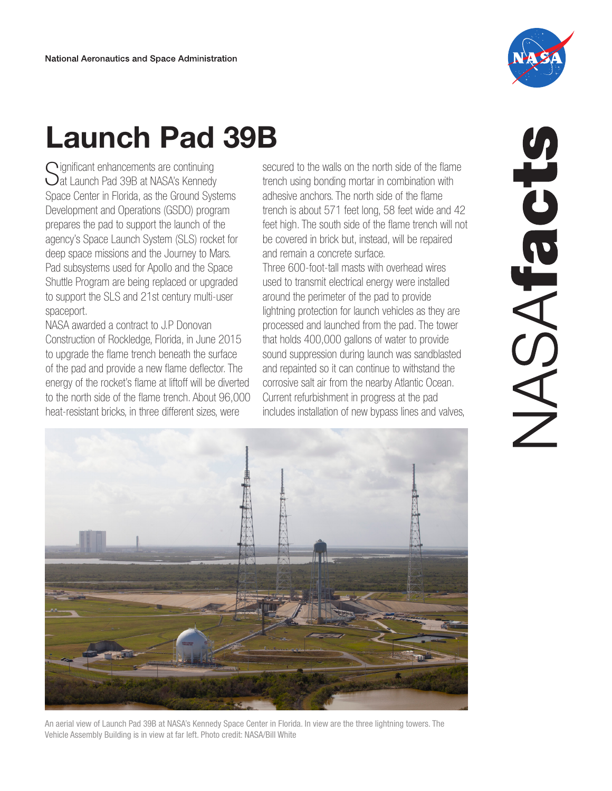

## Launch Pad 39B

 $\bigcap$ ignificant enhancements are continuing  $\bigcup$ at Launch Pad 39B at NASA's Kennedy Space Center in Florida, as the Ground Systems Development and Operations (GSDO) program prepares the pad to support the launch of the agency's Space Launch System (SLS) rocket for deep space missions and the Journey to Mars. Pad subsystems used for Apollo and the Space Shuttle Program are being replaced or upgraded to support the SLS and 21st century multi-user spaceport.

NASA awarded a contract to J.P Donovan Construction of Rockledge, Florida, in June 2015 to upgrade the flame trench beneath the surface of the pad and provide a new flame deflector. The energy of the rocket's flame at liftoff will be diverted to the north side of the flame trench. About 96,000 secured to the walls on the north side of the flame trench using bonding mortar in combination with adhesive anchors. The north side of the flame trench is about 571 feet long, 58 feet wide and 42 feet high. The south side of the flame trench will not be covered in brick but, instead, will be repaired and remain a concrete surface.

Three 600-foot-tall masts with overhead wires used to transmit electrical energy were installed around the perimeter of the pad to provide lightning protection for launch vehicles as they are processed and launched from the pad. The tower that holds 400,000 gallons of water to provide sound suppression during launch was sandblasted and repainted so it can continue to withstand the corrosive salt air from the nearby Atlantic Ocean. Current refurbishment in progress at the pad



An aerial view of Launch Pad 39B at NASA's Kennedy Space Center in Florida. In view are the three lightning towers. The Vehicle Assembly Building is in view at far left. Photo credit: NASA/Bill White